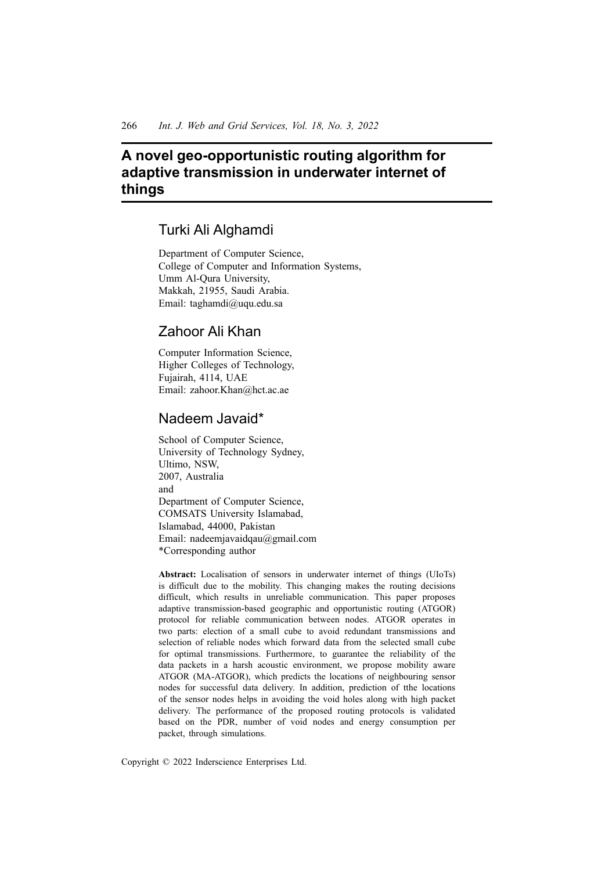# **A novel geo-opportunistic routing algorithm for adaptive transmission in underwater internet of things**

# Turki Ali Alghamdi

Department of Computer Science, College of Computer and Information Systems, Umm Al-Qura University, Makkah, 21955, Saudi Arabia. Email: taghamdi@uqu.edu.sa

# Zahoor Ali Khan

Computer Information Science, Higher Colleges of Technology, Fujairah, 4114, UAE Email: zahoor.Khan@hct.ac.ae

# Nadeem Javaid\*

School of Computer Science, University of Technology Sydney, Ultimo, NSW, 2007, Australia and Department of Computer Science, COMSATS University Islamabad, Islamabad, 44000, Pakistan Email: nadeemjavaidqau@gmail.com \*Corresponding author

**Abstract:** Localisation of sensors in underwater internet of things (UIoTs) is difficult due to the mobility. This changing makes the routing decisions difficult, which results in unreliable communication. This paper proposes adaptive transmission-based geographic and opportunistic routing (ATGOR) protocol for reliable communication between nodes. ATGOR operates in two parts: election of a small cube to avoid redundant transmissions and selection of reliable nodes which forward data from the selected small cube for optimal transmissions. Furthermore, to guarantee the reliability of the data packets in a harsh acoustic environment, we propose mobility aware ATGOR (MA-ATGOR), which predicts the locations of neighbouring sensor nodes for successful data delivery. In addition, prediction of tthe locations of the sensor nodes helps in avoiding the void holes along with high packet delivery. The performance of the proposed routing protocols is validated based on the PDR, number of void nodes and energy consumption per packet, through simulations.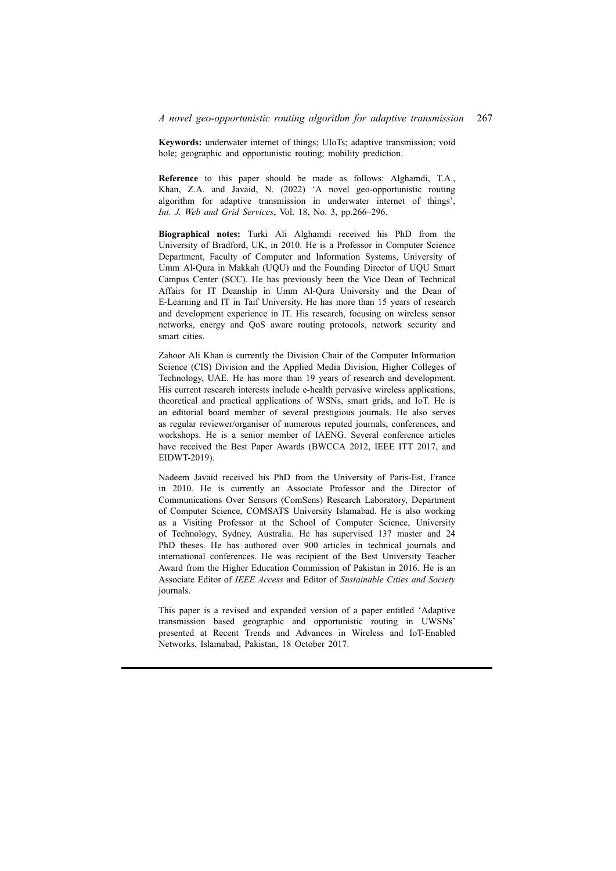**Keywords:** underwater internet of things; UIoTs; adaptive transmission; void hole; geographic and opportunistic routing; mobility prediction.

**Reference** to this paper should be made as follows: Alghamdi, T.A., Khan, Z.A. and Javaid, N. (2022) 'A novel geo-opportunistic routing algorithm for adaptive transmission in underwater internet of things', *Int. J. Web and Grid Services*, Vol. 18, No. 3, pp.266–296.

**Biographical notes:** Turki Ali Alghamdi received his PhD from the University of Bradford, UK, in 2010. He is a Professor in Computer Science Department, Faculty of Computer and Information Systems, University of Umm Al-Qura in Makkah (UQU) and the Founding Director of UQU Smart Campus Center (SCC). He has previously been the Vice Dean of Technical Affairs for IT Deanship in Umm Al-Qura University and the Dean of E-Learning and IT in Taif University. He has more than 15 years of research and development experience in IT. His research, focusing on wireless sensor networks, energy and QoS aware routing protocols, network security and smart cities.

Zahoor Ali Khan is currently the Division Chair of the Computer Information Science (CIS) Division and the Applied Media Division, Higher Colleges of Technology, UAE. He has more than 19 years of research and development. His current research interests include e-health pervasive wireless applications, theoretical and practical applications of WSNs, smart grids, and IoT. He is an editorial board member of several prestigious journals. He also serves as regular reviewer/organiser of numerous reputed journals, conferences, and workshops. He is a senior member of IAENG. Several conference articles have received the Best Paper Awards (BWCCA 2012, IEEE ITT 2017, and EIDWT-2019).

Nadeem Javaid received his PhD from the University of Paris-Est, France in 2010. He is currently an Associate Professor and the Director of Communications Over Sensors (ComSens) Research Laboratory, Department of Computer Science, COMSATS University Islamabad. He is also working as a Visiting Professor at the School of Computer Science, University of Technology, Sydney, Australia. He has supervised 137 master and 24 PhD theses. He has authored over 900 articles in technical journals and international conferences. He was recipient of the Best University Teacher Award from the Higher Education Commission of Pakistan in 2016. He is an Associate Editor of *IEEE Access* and Editor of *Sustainable Cities and Society* journals.

This paper is a revised and expanded version of a paper entitled 'Adaptive transmission based geographic and opportunistic routing in UWSNs' presented at Recent Trends and Advances in Wireless and IoT-Enabled Networks, Islamabad, Pakistan, 18 October 2017.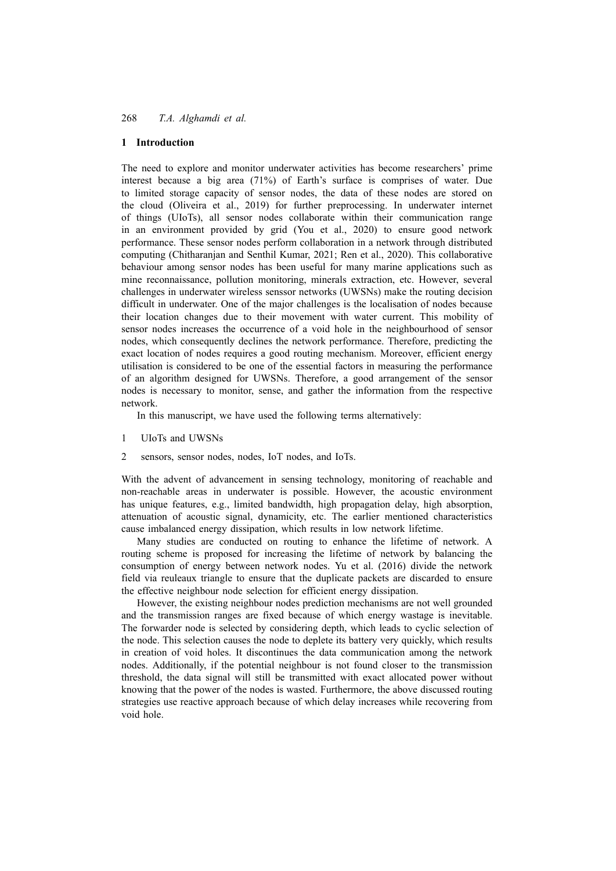# **1 Introduction**

The need to explore and monitor underwater activities has become researchers' prime interest because a big area (71%) of Earth's surface is comprises of water. Due to limited storage capacity of sensor nodes, the data of these nodes are stored on the cloud (Oliveira et al., 2019) for further preprocessing. In underwater internet of things (UIoTs), all sensor nodes collaborate within their communication range in an environment provided by grid (You et al., 2020) to ensure good network performance. These sensor nodes perform collaboration in a network through distributed computing (Chitharanjan and Senthil Kumar, 2021; Ren et al., 2020). This collaborative behaviour among sensor nodes has been useful for many marine applications such as mine reconnaissance, pollution monitoring, minerals extraction, etc. However, several challenges in underwater wireless senssor networks (UWSNs) make the routing decision difficult in underwater. One of the major challenges is the localisation of nodes because their location changes due to their movement with water current. This mobility of sensor nodes increases the occurrence of a void hole in the neighbourhood of sensor nodes, which consequently declines the network performance. Therefore, predicting the exact location of nodes requires a good routing mechanism. Moreover, efficient energy utilisation is considered to be one of the essential factors in measuring the performance of an algorithm designed for UWSNs. Therefore, a good arrangement of the sensor nodes is necessary to monitor, sense, and gather the information from the respective network.

In this manuscript, we have used the following terms alternatively:

- 1 UIoTs and UWSNs
- 2 sensors, sensor nodes, nodes, IoT nodes, and IoTs.

With the advent of advancement in sensing technology, monitoring of reachable and non-reachable areas in underwater is possible. However, the acoustic environment has unique features, e.g., limited bandwidth, high propagation delay, high absorption, attenuation of acoustic signal, dynamicity, etc. The earlier mentioned characteristics cause imbalanced energy dissipation, which results in low network lifetime.

Many studies are conducted on routing to enhance the lifetime of network. A routing scheme is proposed for increasing the lifetime of network by balancing the consumption of energy between network nodes. Yu et al. (2016) divide the network field via reuleaux triangle to ensure that the duplicate packets are discarded to ensure the effective neighbour node selection for efficient energy dissipation.

However, the existing neighbour nodes prediction mechanisms are not well grounded and the transmission ranges are fixed because of which energy wastage is inevitable. The forwarder node is selected by considering depth, which leads to cyclic selection of the node. This selection causes the node to deplete its battery very quickly, which results in creation of void holes. It discontinues the data communication among the network nodes. Additionally, if the potential neighbour is not found closer to the transmission threshold, the data signal will still be transmitted with exact allocated power without knowing that the power of the nodes is wasted. Furthermore, the above discussed routing strategies use reactive approach because of which delay increases while recovering from void hole.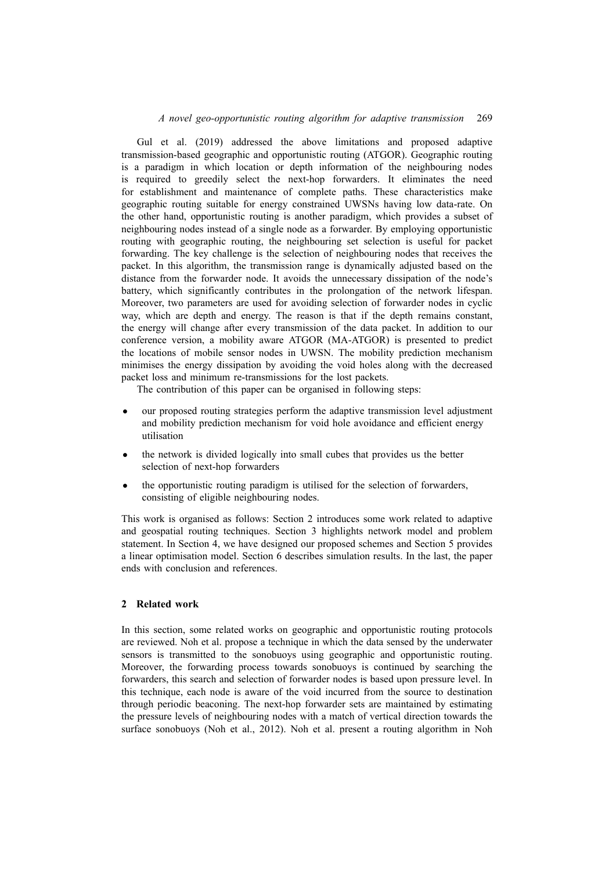Gul et al. (2019) addressed the above limitations and proposed adaptive transmission-based geographic and opportunistic routing (ATGOR). Geographic routing is a paradigm in which location or depth information of the neighbouring nodes is required to greedily select the next-hop forwarders. It eliminates the need for establishment and maintenance of complete paths. These characteristics make geographic routing suitable for energy constrained UWSNs having low data-rate. On the other hand, opportunistic routing is another paradigm, which provides a subset of neighbouring nodes instead of a single node as a forwarder. By employing opportunistic routing with geographic routing, the neighbouring set selection is useful for packet forwarding. The key challenge is the selection of neighbouring nodes that receives the packet. In this algorithm, the transmission range is dynamically adjusted based on the distance from the forwarder node. It avoids the unnecessary dissipation of the node's battery, which significantly contributes in the prolongation of the network lifespan. Moreover, two parameters are used for avoiding selection of forwarder nodes in cyclic way, which are depth and energy. The reason is that if the depth remains constant, the energy will change after every transmission of the data packet. In addition to our conference version, a mobility aware ATGOR (MA-ATGOR) is presented to predict the locations of mobile sensor nodes in UWSN. The mobility prediction mechanism minimises the energy dissipation by avoiding the void holes along with the decreased packet loss and minimum re-transmissions for the lost packets.

The contribution of this paper can be organised in following steps:

- *•* our proposed routing strategies perform the adaptive transmission level adjustment and mobility prediction mechanism for void hole avoidance and efficient energy utilisation
- *•* the network is divided logically into small cubes that provides us the better selection of next-hop forwarders
- *•* the opportunistic routing paradigm is utilised for the selection of forwarders, consisting of eligible neighbouring nodes.

This work is organised as follows: Section 2 introduces some work related to adaptive and geospatial routing techniques. Section 3 highlights network model and problem statement. In Section 4, we have designed our proposed schemes and Section 5 provides a linear optimisation model. Section 6 describes simulation results. In the last, the paper ends with conclusion and references.

# **2 Related work**

In this section, some related works on geographic and opportunistic routing protocols are reviewed. Noh et al. propose a technique in which the data sensed by the underwater sensors is transmitted to the sonobuoys using geographic and opportunistic routing. Moreover, the forwarding process towards sonobuoys is continued by searching the forwarders, this search and selection of forwarder nodes is based upon pressure level. In this technique, each node is aware of the void incurred from the source to destination through periodic beaconing. The next-hop forwarder sets are maintained by estimating the pressure levels of neighbouring nodes with a match of vertical direction towards the surface sonobuoys (Noh et al., 2012). Noh et al. present a routing algorithm in Noh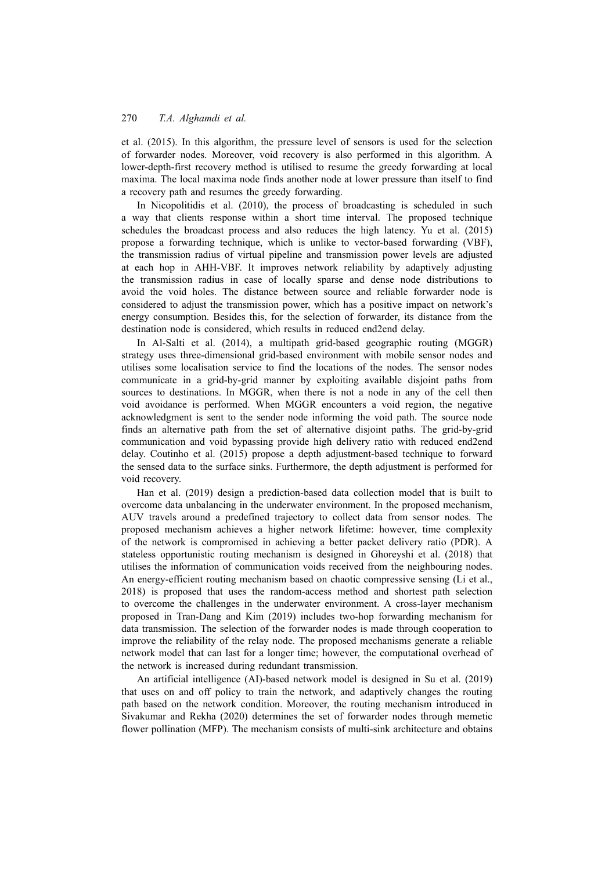et al. (2015). In this algorithm, the pressure level of sensors is used for the selection of forwarder nodes. Moreover, void recovery is also performed in this algorithm. A lower-depth-first recovery method is utilised to resume the greedy forwarding at local maxima. The local maxima node finds another node at lower pressure than itself to find a recovery path and resumes the greedy forwarding.

In Nicopolitidis et al. (2010), the process of broadcasting is scheduled in such a way that clients response within a short time interval. The proposed technique schedules the broadcast process and also reduces the high latency. Yu et al. (2015) propose a forwarding technique, which is unlike to vector-based forwarding (VBF), the transmission radius of virtual pipeline and transmission power levels are adjusted at each hop in AHH-VBF. It improves network reliability by adaptively adjusting the transmission radius in case of locally sparse and dense node distributions to avoid the void holes. The distance between source and reliable forwarder node is considered to adjust the transmission power, which has a positive impact on network's energy consumption. Besides this, for the selection of forwarder, its distance from the destination node is considered, which results in reduced end2end delay.

In Al-Salti et al. (2014), a multipath grid-based geographic routing (MGGR) strategy uses three-dimensional grid-based environment with mobile sensor nodes and utilises some localisation service to find the locations of the nodes. The sensor nodes communicate in a grid-by-grid manner by exploiting available disjoint paths from sources to destinations. In MGGR, when there is not a node in any of the cell then void avoidance is performed. When MGGR encounters a void region, the negative acknowledgment is sent to the sender node informing the void path. The source node finds an alternative path from the set of alternative disjoint paths. The grid-by-grid communication and void bypassing provide high delivery ratio with reduced end2end delay. Coutinho et al. (2015) propose a depth adjustment-based technique to forward the sensed data to the surface sinks. Furthermore, the depth adjustment is performed for void recovery.

Han et al. (2019) design a prediction-based data collection model that is built to overcome data unbalancing in the underwater environment. In the proposed mechanism, AUV travels around a predefined trajectory to collect data from sensor nodes. The proposed mechanism achieves a higher network lifetime: however, time complexity of the network is compromised in achieving a better packet delivery ratio (PDR). A stateless opportunistic routing mechanism is designed in Ghoreyshi et al. (2018) that utilises the information of communication voids received from the neighbouring nodes. An energy-efficient routing mechanism based on chaotic compressive sensing (Li et al., 2018) is proposed that uses the random-access method and shortest path selection to overcome the challenges in the underwater environment. A cross-layer mechanism proposed in Tran-Dang and Kim (2019) includes two-hop forwarding mechanism for data transmission. The selection of the forwarder nodes is made through cooperation to improve the reliability of the relay node. The proposed mechanisms generate a reliable network model that can last for a longer time; however, the computational overhead of the network is increased during redundant transmission.

An artificial intelligence (AI)-based network model is designed in Su et al. (2019) that uses on and off policy to train the network, and adaptively changes the routing path based on the network condition. Moreover, the routing mechanism introduced in Sivakumar and Rekha (2020) determines the set of forwarder nodes through memetic flower pollination (MFP). The mechanism consists of multi-sink architecture and obtains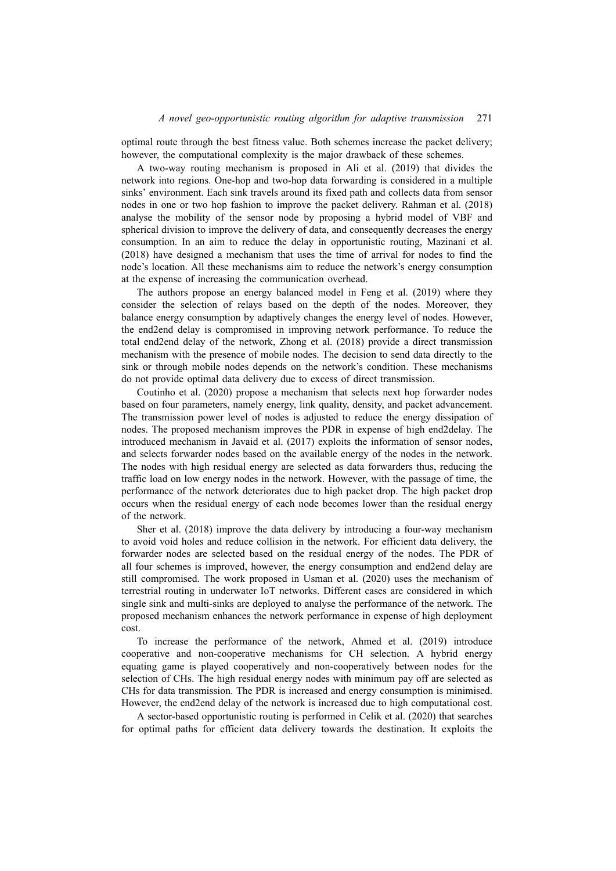optimal route through the best fitness value. Both schemes increase the packet delivery; however, the computational complexity is the major drawback of these schemes.

A two-way routing mechanism is proposed in Ali et al. (2019) that divides the network into regions. One-hop and two-hop data forwarding is considered in a multiple sinks' environment. Each sink travels around its fixed path and collects data from sensor nodes in one or two hop fashion to improve the packet delivery. Rahman et al. (2018) analyse the mobility of the sensor node by proposing a hybrid model of VBF and spherical division to improve the delivery of data, and consequently decreases the energy consumption. In an aim to reduce the delay in opportunistic routing, Mazinani et al. (2018) have designed a mechanism that uses the time of arrival for nodes to find the node's location. All these mechanisms aim to reduce the network's energy consumption at the expense of increasing the communication overhead.

The authors propose an energy balanced model in Feng et al. (2019) where they consider the selection of relays based on the depth of the nodes. Moreover, they balance energy consumption by adaptively changes the energy level of nodes. However, the end2end delay is compromised in improving network performance. To reduce the total end2end delay of the network, Zhong et al. (2018) provide a direct transmission mechanism with the presence of mobile nodes. The decision to send data directly to the sink or through mobile nodes depends on the network's condition. These mechanisms do not provide optimal data delivery due to excess of direct transmission.

Coutinho et al. (2020) propose a mechanism that selects next hop forwarder nodes based on four parameters, namely energy, link quality, density, and packet advancement. The transmission power level of nodes is adjusted to reduce the energy dissipation of nodes. The proposed mechanism improves the PDR in expense of high end2delay. The introduced mechanism in Javaid et al. (2017) exploits the information of sensor nodes, and selects forwarder nodes based on the available energy of the nodes in the network. The nodes with high residual energy are selected as data forwarders thus, reducing the traffic load on low energy nodes in the network. However, with the passage of time, the performance of the network deteriorates due to high packet drop. The high packet drop occurs when the residual energy of each node becomes lower than the residual energy of the network.

Sher et al. (2018) improve the data delivery by introducing a four-way mechanism to avoid void holes and reduce collision in the network. For efficient data delivery, the forwarder nodes are selected based on the residual energy of the nodes. The PDR of all four schemes is improved, however, the energy consumption and end2end delay are still compromised. The work proposed in Usman et al. (2020) uses the mechanism of terrestrial routing in underwater IoT networks. Different cases are considered in which single sink and multi-sinks are deployed to analyse the performance of the network. The proposed mechanism enhances the network performance in expense of high deployment cost.

To increase the performance of the network, Ahmed et al. (2019) introduce cooperative and non-cooperative mechanisms for CH selection. A hybrid energy equating game is played cooperatively and non-cooperatively between nodes for the selection of CHs. The high residual energy nodes with minimum pay off are selected as CHs for data transmission. The PDR is increased and energy consumption is minimised. However, the end2end delay of the network is increased due to high computational cost.

A sector-based opportunistic routing is performed in Celik et al. (2020) that searches for optimal paths for efficient data delivery towards the destination. It exploits the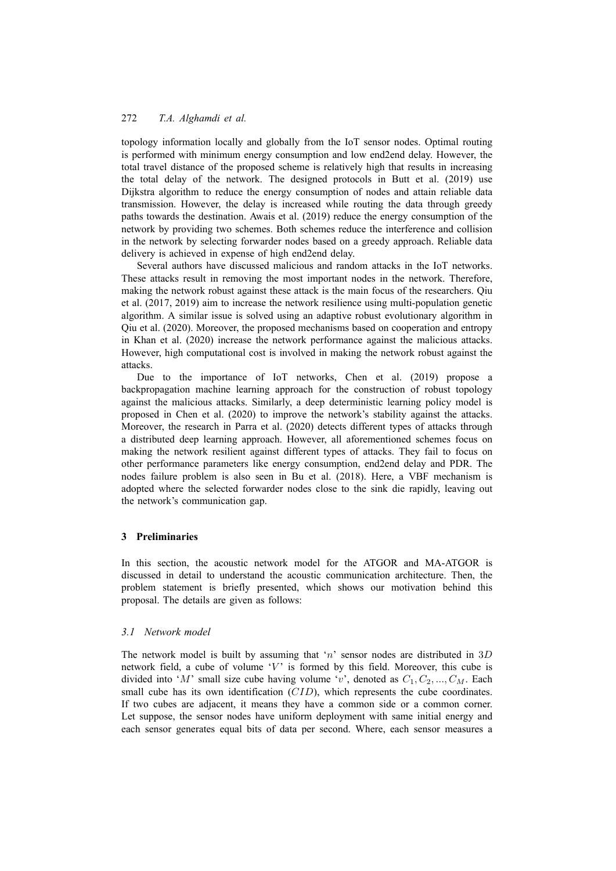topology information locally and globally from the IoT sensor nodes. Optimal routing is performed with minimum energy consumption and low end2end delay. However, the total travel distance of the proposed scheme is relatively high that results in increasing the total delay of the network. The designed protocols in Butt et al. (2019) use Dijkstra algorithm to reduce the energy consumption of nodes and attain reliable data transmission. However, the delay is increased while routing the data through greedy paths towards the destination. Awais et al. (2019) reduce the energy consumption of the network by providing two schemes. Both schemes reduce the interference and collision in the network by selecting forwarder nodes based on a greedy approach. Reliable data delivery is achieved in expense of high end2end delay.

Several authors have discussed malicious and random attacks in the IoT networks. These attacks result in removing the most important nodes in the network. Therefore, making the network robust against these attack is the main focus of the researchers. Qiu et al. (2017, 2019) aim to increase the network resilience using multi-population genetic algorithm. A similar issue is solved using an adaptive robust evolutionary algorithm in Qiu et al. (2020). Moreover, the proposed mechanisms based on cooperation and entropy in Khan et al. (2020) increase the network performance against the malicious attacks. However, high computational cost is involved in making the network robust against the attacks.

Due to the importance of IoT networks, Chen et al. (2019) propose a backpropagation machine learning approach for the construction of robust topology against the malicious attacks. Similarly, a deep deterministic learning policy model is proposed in Chen et al. (2020) to improve the network's stability against the attacks. Moreover, the research in Parra et al. (2020) detects different types of attacks through a distributed deep learning approach. However, all aforementioned schemes focus on making the network resilient against different types of attacks. They fail to focus on other performance parameters like energy consumption, end2end delay and PDR. The nodes failure problem is also seen in Bu et al. (2018). Here, a VBF mechanism is adopted where the selected forwarder nodes close to the sink die rapidly, leaving out the network's communication gap.

# **3 Preliminaries**

In this section, the acoustic network model for the ATGOR and MA-ATGOR is discussed in detail to understand the acoustic communication architecture. Then, the problem statement is briefly presented, which shows our motivation behind this proposal. The details are given as follows:

# *3.1 Network model*

The network model is built by assuming that '*n*' sensor nodes are distributed in 3*D* network field, a cube of volume  $V'$  is formed by this field. Moreover, this cube is divided into '*M*' small size cube having volume '*v*', denoted as *C*1*, C*2*, ..., CM*. Each small cube has its own identification (*CID*), which represents the cube coordinates. If two cubes are adjacent, it means they have a common side or a common corner. Let suppose, the sensor nodes have uniform deployment with same initial energy and each sensor generates equal bits of data per second. Where, each sensor measures a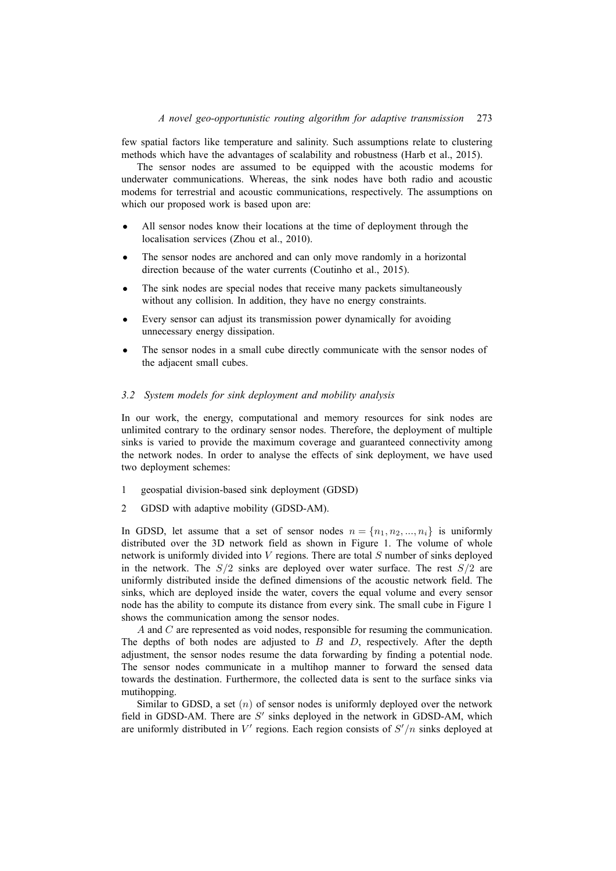few spatial factors like temperature and salinity. Such assumptions relate to clustering methods which have the advantages of scalability and robustness (Harb et al., 2015).

The sensor nodes are assumed to be equipped with the acoustic modems for underwater communications. Whereas, the sink nodes have both radio and acoustic modems for terrestrial and acoustic communications, respectively. The assumptions on which our proposed work is based upon are:

- *•* All sensor nodes know their locations at the time of deployment through the localisation services (Zhou et al., 2010).
- The sensor nodes are anchored and can only move randomly in a horizontal direction because of the water currents (Coutinho et al., 2015).
- The sink nodes are special nodes that receive many packets simultaneously without any collision. In addition, they have no energy constraints.
- Every sensor can adjust its transmission power dynamically for avoiding unnecessary energy dissipation.
- The sensor nodes in a small cube directly communicate with the sensor nodes of the adjacent small cubes.

#### *3.2 System models for sink deployment and mobility analysis*

In our work, the energy, computational and memory resources for sink nodes are unlimited contrary to the ordinary sensor nodes. Therefore, the deployment of multiple sinks is varied to provide the maximum coverage and guaranteed connectivity among the network nodes. In order to analyse the effects of sink deployment, we have used two deployment schemes:

- 1 geospatial division-based sink deployment (GDSD)
- 2 GDSD with adaptive mobility (GDSD-AM).

In GDSD, let assume that a set of sensor nodes  $n = \{n_1, n_2, ..., n_i\}$  is uniformly distributed over the 3D network field as shown in Figure 1. The volume of whole network is uniformly divided into *V* regions. There are total *S* number of sinks deployed in the network. The *S*/2 sinks are deployed over water surface. The rest *S*/2 are uniformly distributed inside the defined dimensions of the acoustic network field. The sinks, which are deployed inside the water, covers the equal volume and every sensor node has the ability to compute its distance from every sink. The small cube in Figure 1 shows the communication among the sensor nodes.

*A* and *C* are represented as void nodes, responsible for resuming the communication. The depths of both nodes are adjusted to *B* and *D*, respectively. After the depth adjustment, the sensor nodes resume the data forwarding by finding a potential node. The sensor nodes communicate in a multihop manner to forward the sensed data towards the destination. Furthermore, the collected data is sent to the surface sinks via mutihopping.

Similar to GDSD, a set (*n*) of sensor nodes is uniformly deployed over the network field in GDSD-AM. There are *S ′* sinks deployed in the network in GDSD-AM, which are uniformly distributed in *V ′* regions. Each region consists of *S ′*/*n* sinks deployed at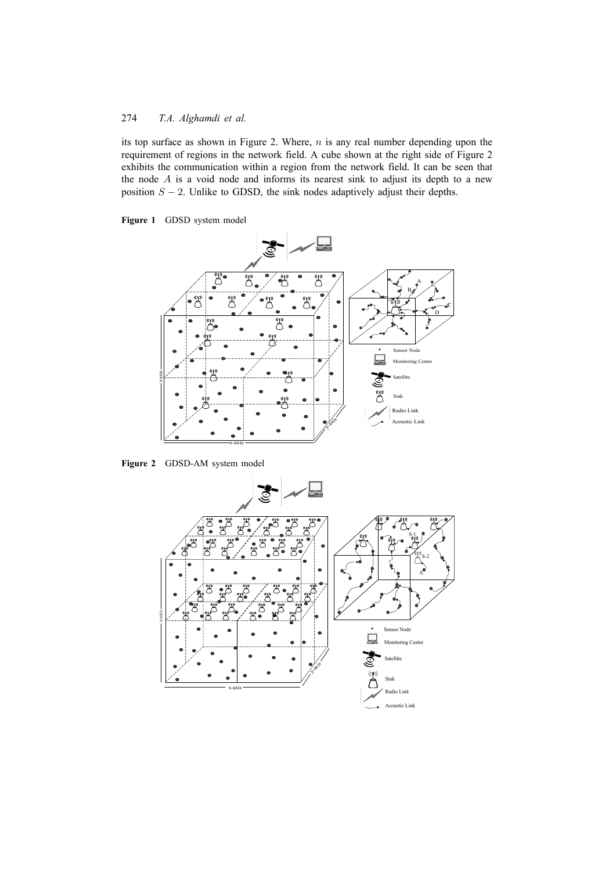its top surface as shown in Figure 2. Where, *n* is any real number depending upon the requirement of regions in the network field. A cube shown at the right side of Figure 2 exhibits the communication within a region from the network field. It can be seen that the node  $A$  is a void node and informs its nearest sink to adjust its depth to a new position  $S - 2$ . Unlike to GDSD, the sink nodes adaptively adjust their depths.





**Figure 2** GDSD-AM system model

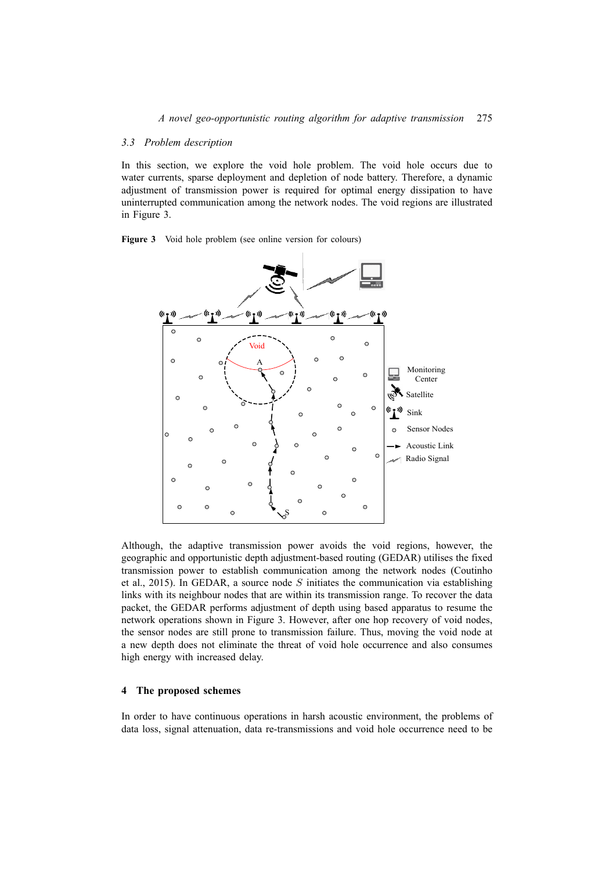#### *3.3 Problem description*

In this section, we explore the void hole problem. The void hole occurs due to water currents, sparse deployment and depletion of node battery. Therefore, a dynamic adjustment of transmission power is required for optimal energy dissipation to have uninterrupted communication among the network nodes. The void regions are illustrated in Figure 3.

**Figure 3** Void hole problem (see online version for colours)



Although, the adaptive transmission power avoids the void regions, however, the geographic and opportunistic depth adjustment-based routing (GEDAR) utilises the fixed transmission power to establish communication among the network nodes (Coutinho et al., 2015). In GEDAR, a source node *S* initiates the communication via establishing links with its neighbour nodes that are within its transmission range. To recover the data packet, the GEDAR performs adjustment of depth using based apparatus to resume the network operations shown in Figure 3. However, after one hop recovery of void nodes, the sensor nodes are still prone to transmission failure. Thus, moving the void node at a new depth does not eliminate the threat of void hole occurrence and also consumes high energy with increased delay.

#### **4 The proposed schemes**

In order to have continuous operations in harsh acoustic environment, the problems of data loss, signal attenuation, data re-transmissions and void hole occurrence need to be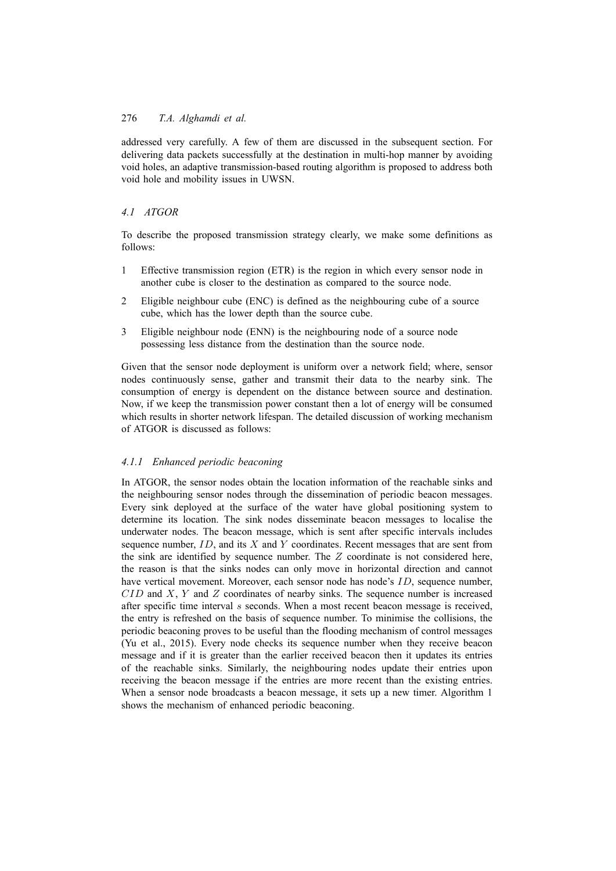addressed very carefully. A few of them are discussed in the subsequent section. For delivering data packets successfully at the destination in multi-hop manner by avoiding void holes, an adaptive transmission-based routing algorithm is proposed to address both void hole and mobility issues in UWSN.

# *4.1 ATGOR*

To describe the proposed transmission strategy clearly, we make some definitions as follows:

- 1 Effective transmission region (ETR) is the region in which every sensor node in another cube is closer to the destination as compared to the source node.
- 2 Eligible neighbour cube (ENC) is defined as the neighbouring cube of a source cube, which has the lower depth than the source cube.
- 3 Eligible neighbour node (ENN) is the neighbouring node of a source node possessing less distance from the destination than the source node.

Given that the sensor node deployment is uniform over a network field; where, sensor nodes continuously sense, gather and transmit their data to the nearby sink. The consumption of energy is dependent on the distance between source and destination. Now, if we keep the transmission power constant then a lot of energy will be consumed which results in shorter network lifespan. The detailed discussion of working mechanism of ATGOR is discussed as follows:

# *4.1.1 Enhanced periodic beaconing*

In ATGOR, the sensor nodes obtain the location information of the reachable sinks and the neighbouring sensor nodes through the dissemination of periodic beacon messages. Every sink deployed at the surface of the water have global positioning system to determine its location. The sink nodes disseminate beacon messages to localise the underwater nodes. The beacon message, which is sent after specific intervals includes sequence number, *ID*, and its *X* and *Y* coordinates. Recent messages that are sent from the sink are identified by sequence number. The *Z* coordinate is not considered here, the reason is that the sinks nodes can only move in horizontal direction and cannot have vertical movement. Moreover, each sensor node has node's *ID*, sequence number, *CID* and *X*, *Y* and *Z* coordinates of nearby sinks. The sequence number is increased after specific time interval *s* seconds. When a most recent beacon message is received, the entry is refreshed on the basis of sequence number. To minimise the collisions, the periodic beaconing proves to be useful than the flooding mechanism of control messages (Yu et al., 2015). Every node checks its sequence number when they receive beacon message and if it is greater than the earlier received beacon then it updates its entries of the reachable sinks. Similarly, the neighbouring nodes update their entries upon receiving the beacon message if the entries are more recent than the existing entries. When a sensor node broadcasts a beacon message, it sets up a new timer. Algorithm 1 shows the mechanism of enhanced periodic beaconing.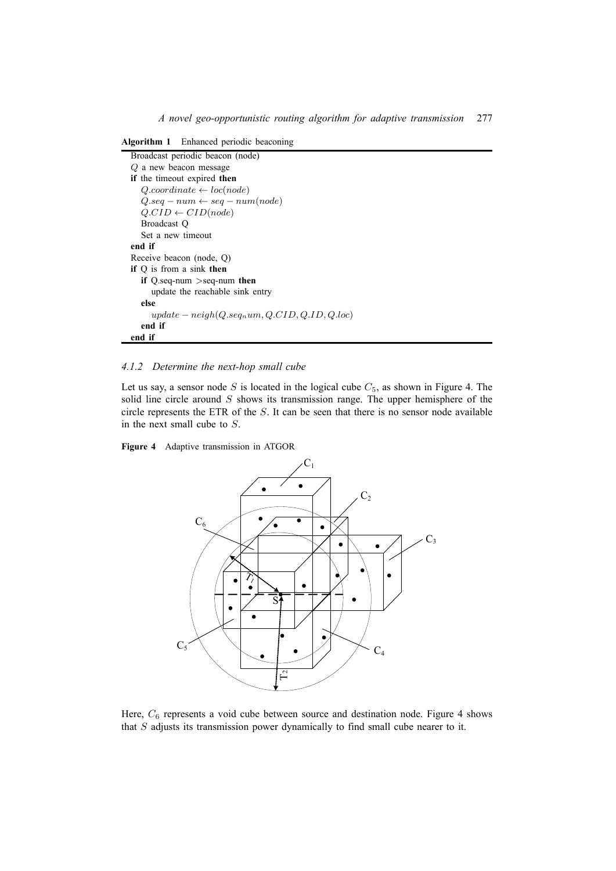**Algorithm 1** Enhanced periodic beaconing

```
Broadcast periodic beacon (node)
Q a new beacon message
if the timeout expired then
  Q.coordinate ← loc(node)
  Q.seq − num ← seq − num(node)
  Q.CID \leftarrow CID(node)Broadcast Q
  Set a new timeout
end if
Receive beacon (node, Q)
if Q is from a sink then
  if Q.seq-num >seq-num then
     update the reachable sink entry
  else
     update − neigh(Q.seqnum, Q.CID, Q.ID, Q.loc)
  end if
end if
```
## *4.1.2 Determine the next-hop small cube*

Let us say, a sensor node  $S$  is located in the logical cube  $C_5$ , as shown in Figure 4. The solid line circle around *S* shows its transmission range. The upper hemisphere of the circle represents the ETR of the *S*. It can be seen that there is no sensor node available in the next small cube to *S*.

**Figure 4** Adaptive transmission in ATGOR



Here,  $C_6$  represents a void cube between source and destination node. Figure 4 shows that *S* adjusts its transmission power dynamically to find small cube nearer to it.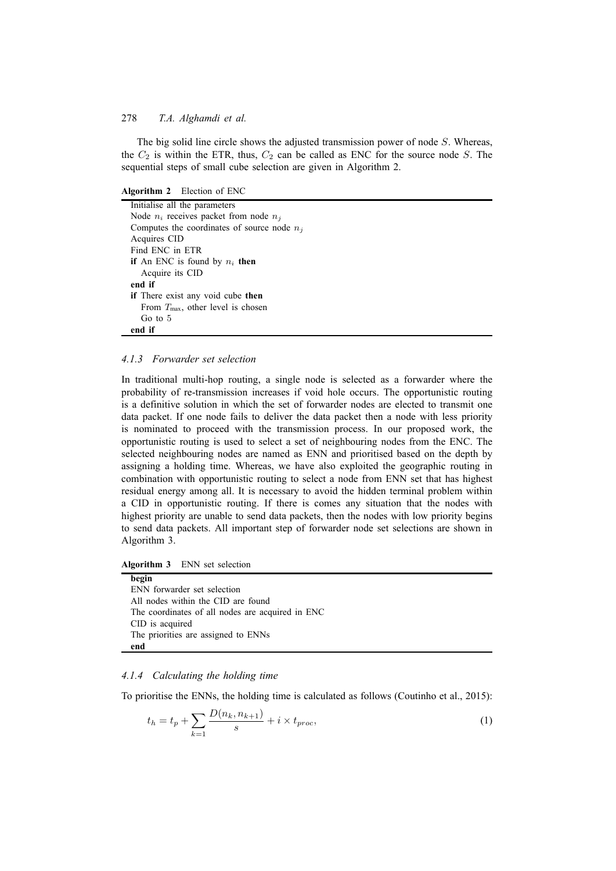The big solid line circle shows the adjusted transmission power of node *S*. Whereas, the  $C_2$  is within the ETR, thus,  $C_2$  can be called as ENC for the source node *S*. The sequential steps of small cube selection are given in Algorithm 2.

**Algorithm 2** Election of ENC

| Initialise all the parameters                 |
|-----------------------------------------------|
| Node $n_i$ receives packet from node $n_i$    |
| Computes the coordinates of source node $n_i$ |
| Acquires CID                                  |
| Find ENC in ETR                               |
| <b>if</b> An ENC is found by $n_i$ then       |
| Acquire its CID                               |
| end if                                        |
| if There exist any void cube then             |
| From $T_{\text{max}}$ , other level is chosen |
| Go to 5                                       |
| end if                                        |

# *4.1.3 Forwarder set selection*

In traditional multi-hop routing, a single node is selected as a forwarder where the probability of re-transmission increases if void hole occurs. The opportunistic routing is a definitive solution in which the set of forwarder nodes are elected to transmit one data packet. If one node fails to deliver the data packet then a node with less priority is nominated to proceed with the transmission process. In our proposed work, the opportunistic routing is used to select a set of neighbouring nodes from the ENC. The selected neighbouring nodes are named as ENN and prioritised based on the depth by assigning a holding time. Whereas, we have also exploited the geographic routing in combination with opportunistic routing to select a node from ENN set that has highest residual energy among all. It is necessary to avoid the hidden terminal problem within a CID in opportunistic routing. If there is comes any situation that the nodes with highest priority are unable to send data packets, then the nodes with low priority begins to send data packets. All important step of forwarder node set selections are shown in Algorithm 3.

**Algorithm 3** ENN set selection

**begin** ENN forwarder set selection All nodes within the CID are found The coordinates of all nodes are acquired in ENC CID is acquired The priorities are assigned to ENNs **end**

# *4.1.4 Calculating the holding time*

To prioritise the ENNs, the holding time is calculated as follows (Coutinho et al., 2015):

$$
t_h = t_p + \sum_{k=1}^{\infty} \frac{D(n_k, n_{k+1})}{s} + i \times t_{proc},
$$
\n(1)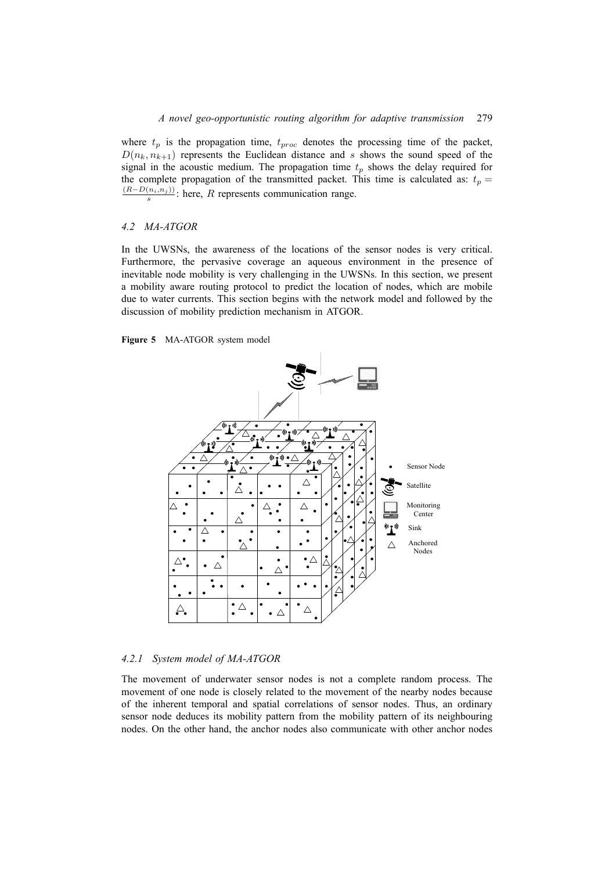where  $t_p$  is the propagation time,  $t_{proc}$  denotes the processing time of the packet,  $D(n_k, n_{k+1})$  represents the Euclidean distance and *s* shows the sound speed of the signal in the acoustic medium. The propagation time  $t_p$  shows the delay required for the complete propagation of the transmitted packet. This time is calculated as:  $t_p =$ (*R−D*(*ni,n<sup>j</sup>* )) *s* : here, *R* represents communication range.

# *4.2 MA-ATGOR*

In the UWSNs, the awareness of the locations of the sensor nodes is very critical. Furthermore, the pervasive coverage an aqueous environment in the presence of inevitable node mobility is very challenging in the UWSNs. In this section, we present a mobility aware routing protocol to predict the location of nodes, which are mobile due to water currents. This section begins with the network model and followed by the discussion of mobility prediction mechanism in ATGOR.

**Figure 5** MA-ATGOR system model



# *4.2.1 System model of MA-ATGOR*

The movement of underwater sensor nodes is not a complete random process. The movement of one node is closely related to the movement of the nearby nodes because of the inherent temporal and spatial correlations of sensor nodes. Thus, an ordinary sensor node deduces its mobility pattern from the mobility pattern of its neighbouring nodes. On the other hand, the anchor nodes also communicate with other anchor nodes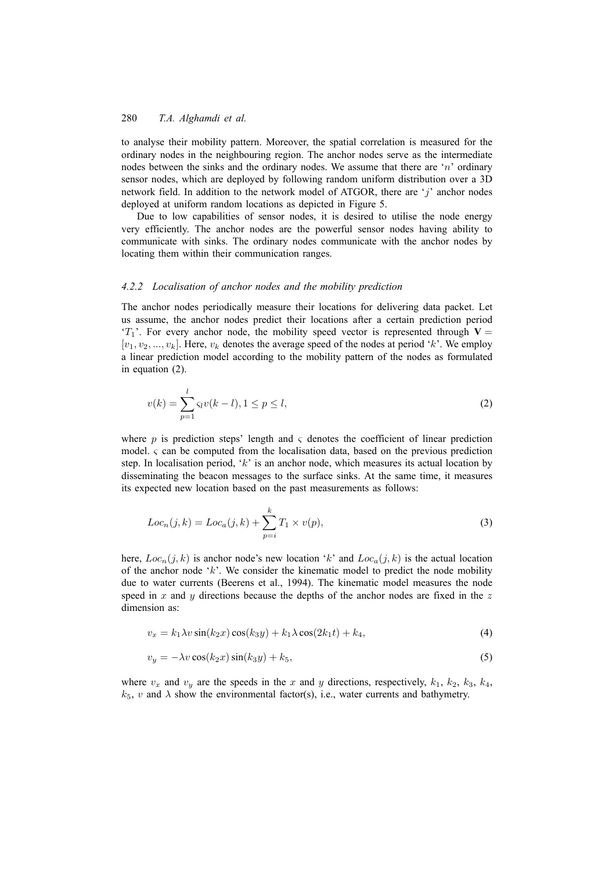to analyse their mobility pattern. Moreover, the spatial correlation is measured for the ordinary nodes in the neighbouring region. The anchor nodes serve as the intermediate nodes between the sinks and the ordinary nodes. We assume that there are '*n*' ordinary sensor nodes, which are deployed by following random uniform distribution over a 3D network field. In addition to the network model of ATGOR, there are '*j*' anchor nodes deployed at uniform random locations as depicted in Figure 5.

Due to low capabilities of sensor nodes, it is desired to utilise the node energy very efficiently. The anchor nodes are the powerful sensor nodes having ability to communicate with sinks. The ordinary nodes communicate with the anchor nodes by locating them within their communication ranges.

#### *4.2.2 Localisation of anchor nodes and the mobility prediction*

The anchor nodes periodically measure their locations for delivering data packet. Let us assume, the anchor nodes predict their locations after a certain prediction period  $T_1$ <sup>'</sup>. For every anchor node, the mobility speed vector is represented through **V** =  $[v_1, v_2, \ldots, v_k]$ . Here,  $v_k$  denotes the average speed of the nodes at period '*k*'. We employ a linear prediction model according to the mobility pattern of the nodes as formulated in equation (2).

$$
v(k) = \sum_{p=1}^{l} \varsigma_l v(k-l), 1 \le p \le l,
$$
\n(2)

where *p* is prediction steps' length and  $\varsigma$  denotes the coefficient of linear prediction model. *ς* can be computed from the localisation data, based on the previous prediction step. In localisation period, '*k*' is an anchor node, which measures its actual location by disseminating the beacon messages to the surface sinks. At the same time, it measures its expected new location based on the past measurements as follows:

$$
Locn(j,k) = Loca(j,k) + \sum_{p=i}^{k} T_1 \times v(p),
$$
\n(3)

here,  $Loc_n(j, k)$  is anchor node's new location '*k*' and  $Loc_a(j, k)$  is the actual location of the anchor node '*k*'. We consider the kinematic model to predict the node mobility due to water currents (Beerens et al., 1994). The kinematic model measures the node speed in *x* and *y* directions because the depths of the anchor nodes are fixed in the *z* dimension as:

$$
v_x = k_1 \lambda v \sin(k_2 x) \cos(k_3 y) + k_1 \lambda \cos(2k_1 t) + k_4,
$$
\n
$$
(4)
$$

$$
v_y = -\lambda v \cos(k_2 x) \sin(k_3 y) + k_5,\tag{5}
$$

where  $v_x$  and  $v_y$  are the speeds in the x and y directions, respectively,  $k_1$ ,  $k_2$ ,  $k_3$ ,  $k_4$ ,  $k_5$ , *v* and  $\lambda$  show the environmental factor(s), i.e., water currents and bathymetry.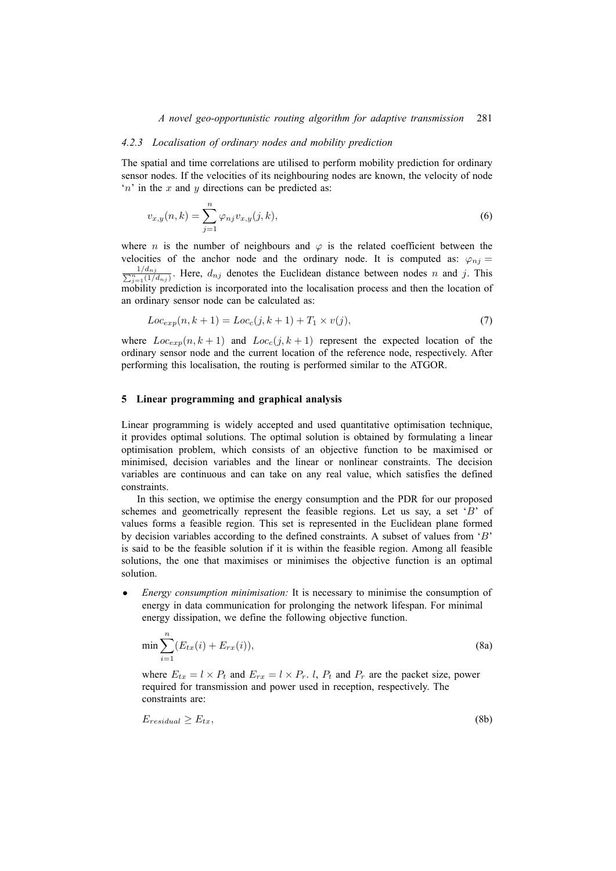### *4.2.3 Localisation of ordinary nodes and mobility prediction*

The spatial and time correlations are utilised to perform mobility prediction for ordinary sensor nodes. If the velocities of its neighbouring nodes are known, the velocity of node '*n*' in the *x* and *y* directions can be predicted as:

$$
v_{x,y}(n,k) = \sum_{j=1}^{n} \varphi_{nj} v_{x,y}(j,k),
$$
\n(6)

where *n* is the number of neighbours and  $\varphi$  is the related coefficient between the velocities of the anchor node and the ordinary node. It is computed as:  $\varphi_{nj} =$  $\frac{1}{d} \sum_{j=1}^{n} (1/d_{nj})$ . Here,  $d_{nj}$  denotes the Euclidean distance between nodes *n* and *j*. This mobility prediction is incorporated into the localisation process and then the location of an ordinary sensor node can be calculated as:

$$
Loc_{exp}(n, k+1) = Loc_{c}(j, k+1) + T_{1} \times v(j),
$$
\n(7)

where  $Loc_{exp}(n, k+1)$  and  $Loc_{c}(j, k+1)$  represent the expected location of the ordinary sensor node and the current location of the reference node, respectively. After performing this localisation, the routing is performed similar to the ATGOR.

#### **5 Linear programming and graphical analysis**

Linear programming is widely accepted and used quantitative optimisation technique, it provides optimal solutions. The optimal solution is obtained by formulating a linear optimisation problem, which consists of an objective function to be maximised or minimised, decision variables and the linear or nonlinear constraints. The decision variables are continuous and can take on any real value, which satisfies the defined constraints.

In this section, we optimise the energy consumption and the PDR for our proposed schemes and geometrically represent the feasible regions. Let us say, a set '*B*' of values forms a feasible region. This set is represented in the Euclidean plane formed by decision variables according to the defined constraints. A subset of values from '*B*' is said to be the feasible solution if it is within the feasible region. Among all feasible solutions, the one that maximises or minimises the objective function is an optimal solution.

*• Energy consumption minimisation:* It is necessary to minimise the consumption of energy in data communication for prolonging the network lifespan. For minimal energy dissipation, we define the following objective function.

$$
\min \sum_{i=1}^{n} (E_{tx}(i) + E_{rx}(i)),
$$
\n(8a)

where  $E_{tx} = l \times P_t$  and  $E_{rx} = l \times P_r$ . *l*,  $P_t$  and  $P_r$  are the packet size, power required for transmission and power used in reception, respectively. The constraints are:

$$
E_{residual} \ge E_{tx},\tag{8b}
$$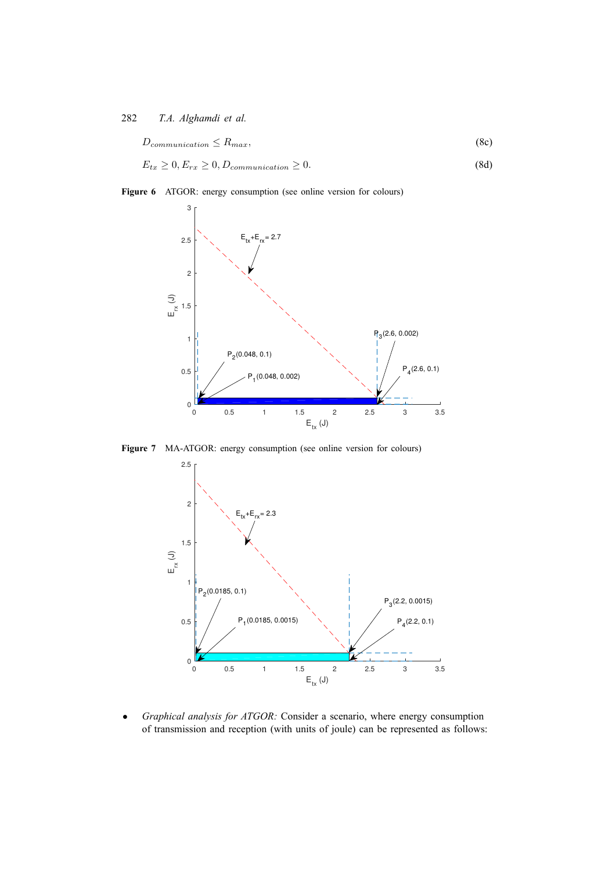$$
D_{communication} \le R_{max},\tag{8c}
$$

$$
E_{tx} \ge 0, E_{rx} \ge 0, D_{communication} \ge 0.
$$
\n(8d)





**Figure 7** MA-ATGOR: energy consumption (see online version for colours)



*• Graphical analysis for ATGOR:* Consider a scenario, where energy consumption of transmission and reception (with units of joule) can be represented as follows: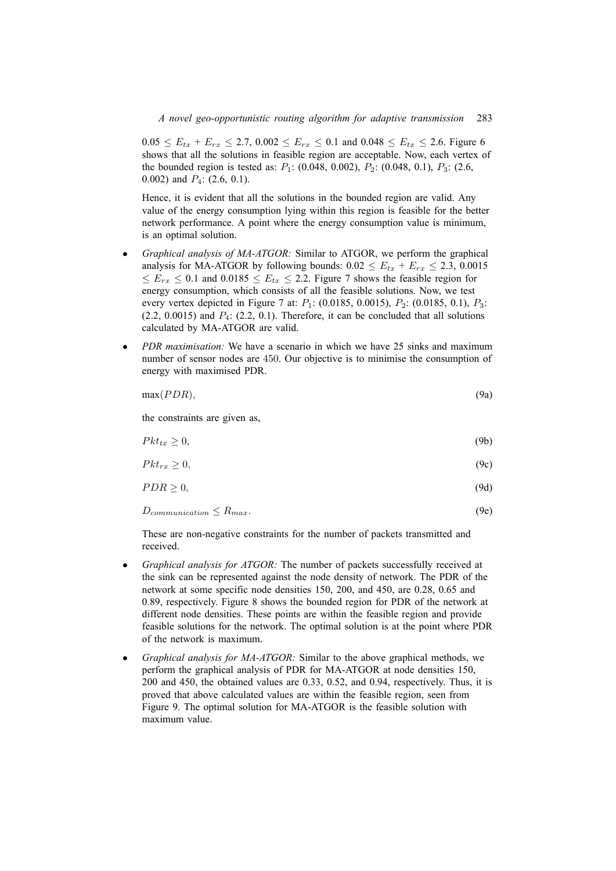$0.05 \le E_{tx} + E_{rx} \le 2.7$ ,  $0.002 \le E_{rx} \le 0.1$  and  $0.048 \le E_{tx} \le 2.6$ . Figure 6 shows that all the solutions in feasible region are acceptable. Now, each vertex of the bounded region is tested as: *P*1: (0.048, 0.002), *P*2: (0.048, 0.1), *P*3: (2.6, 0.002) and *P*4: (2.6, 0.1).

Hence, it is evident that all the solutions in the bounded region are valid. Any value of the energy consumption lying within this region is feasible for the better network performance. A point where the energy consumption value is minimum, is an optimal solution.

- *• Graphical analysis of MA-ATGOR:* Similar to ATGOR, we perform the graphical analysis for MA-ATGOR by following bounds:  $0.02 \leq E_{tx} + E_{rx} \leq 2.3$ , 0.0015  $≤ E_{rx} ≤ 0.1$  and  $0.0185 ≤ E_{tx} ≤ 2.2$ . Figure 7 shows the feasible region for energy consumption, which consists of all the feasible solutions. Now, we test every vertex depicted in Figure 7 at: *P*1: (0.0185, 0.0015), *P*2: (0.0185, 0.1), *P*3:  $(2.2, 0.0015)$  and  $P_4$ :  $(2.2, 0.1)$ . Therefore, it can be concluded that all solutions calculated by MA-ATGOR are valid.
- *• PDR maximisation:* We have a scenario in which we have 25 sinks and maximum number of sensor nodes are 450. Our objective is to minimise the consumption of energy with maximised PDR.

$$
\max(PDR),\tag{9a}
$$

the constraints are given as,

 $Pkt_{tx} > 0$ , (9b)

$$
Pkt_{rx} \geq 0,\tag{9c}
$$

$$
PDR \geq 0,\tag{9d}
$$

$$
D_{communication} \le R_{max}.\tag{9e}
$$

These are non-negative constraints for the number of packets transmitted and received.

- *• Graphical analysis for ATGOR:* The number of packets successfully received at the sink can be represented against the node density of network. The PDR of the network at some specific node densities 150, 200, and 450, are 0.28, 0.65 and 0.89, respectively. Figure 8 shows the bounded region for PDR of the network at different node densities. These points are within the feasible region and provide feasible solutions for the network. The optimal solution is at the point where PDR of the network is maximum.
- *• Graphical analysis for MA-ATGOR:* Similar to the above graphical methods, we perform the graphical analysis of PDR for MA-ATGOR at node densities 150, 200 and 450, the obtained values are 0.33, 0.52, and 0.94, respectively. Thus, it is proved that above calculated values are within the feasible region, seen from Figure 9. The optimal solution for MA-ATGOR is the feasible solution with maximum value.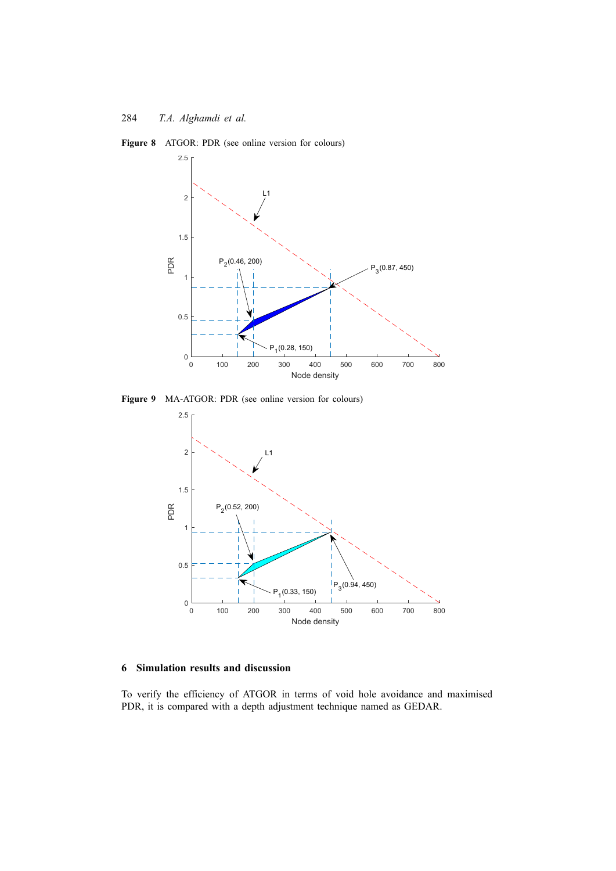



**Figure 9** MA-ATGOR: PDR (see online version for colours)



# **6 Simulation results and discussion**

To verify the efficiency of ATGOR in terms of void hole avoidance and maximised PDR, it is compared with a depth adjustment technique named as GEDAR.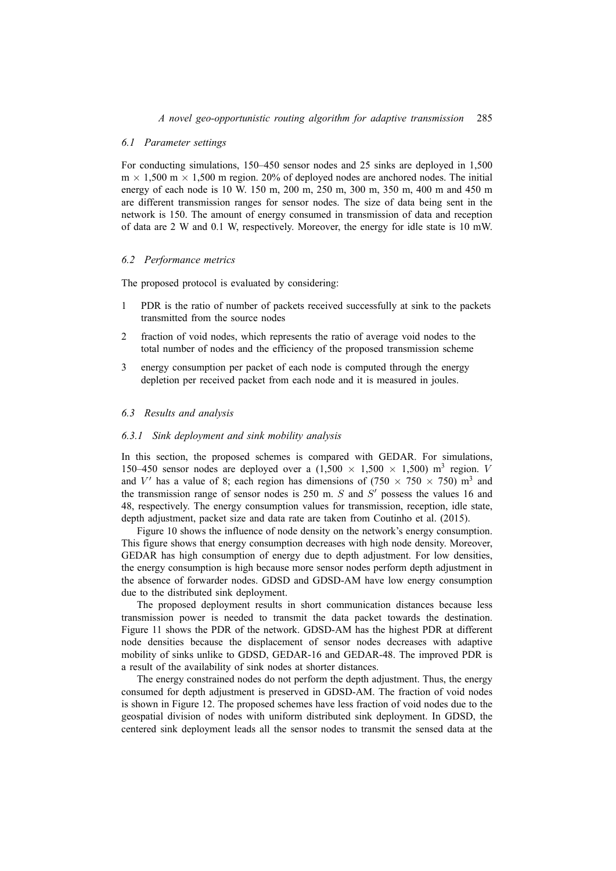#### *6.1 Parameter settings*

For conducting simulations, 150–450 sensor nodes and 25 sinks are deployed in 1,500  $m \times 1,500$  m  $\times 1,500$  m region. 20% of deployed nodes are anchored nodes. The initial energy of each node is 10 W. 150 m, 200 m, 250 m, 300 m, 350 m, 400 m and 450 m are different transmission ranges for sensor nodes. The size of data being sent in the network is 150. The amount of energy consumed in transmission of data and reception of data are 2 W and 0.1 W, respectively. Moreover, the energy for idle state is 10 mW.

#### *6.2 Performance metrics*

The proposed protocol is evaluated by considering:

- 1 PDR is the ratio of number of packets received successfully at sink to the packets transmitted from the source nodes
- 2 fraction of void nodes, which represents the ratio of average void nodes to the total number of nodes and the efficiency of the proposed transmission scheme
- 3 energy consumption per packet of each node is computed through the energy depletion per received packet from each node and it is measured in joules.

#### *6.3 Results and analysis*

### *6.3.1 Sink deployment and sink mobility analysis*

In this section, the proposed schemes is compared with GEDAR. For simulations, 150–450 sensor nodes are deployed over a  $(1,500 \times 1,500 \times 1,500)$  m<sup>3</sup> region. *V* and *V'* has a value of 8; each region has dimensions of  $(750 \times 750 \times 750)$  m<sup>3</sup> and the transmission range of sensor nodes is 250 m. *S* and *S ′* possess the values 16 and 48, respectively. The energy consumption values for transmission, reception, idle state, depth adjustment, packet size and data rate are taken from Coutinho et al. (2015).

Figure 10 shows the influence of node density on the network's energy consumption. This figure shows that energy consumption decreases with high node density. Moreover, GEDAR has high consumption of energy due to depth adjustment. For low densities, the energy consumption is high because more sensor nodes perform depth adjustment in the absence of forwarder nodes. GDSD and GDSD-AM have low energy consumption due to the distributed sink deployment.

The proposed deployment results in short communication distances because less transmission power is needed to transmit the data packet towards the destination. Figure 11 shows the PDR of the network. GDSD-AM has the highest PDR at different node densities because the displacement of sensor nodes decreases with adaptive mobility of sinks unlike to GDSD, GEDAR-16 and GEDAR-48. The improved PDR is a result of the availability of sink nodes at shorter distances.

The energy constrained nodes do not perform the depth adjustment. Thus, the energy consumed for depth adjustment is preserved in GDSD-AM. The fraction of void nodes is shown in Figure 12. The proposed schemes have less fraction of void nodes due to the geospatial division of nodes with uniform distributed sink deployment. In GDSD, the centered sink deployment leads all the sensor nodes to transmit the sensed data at the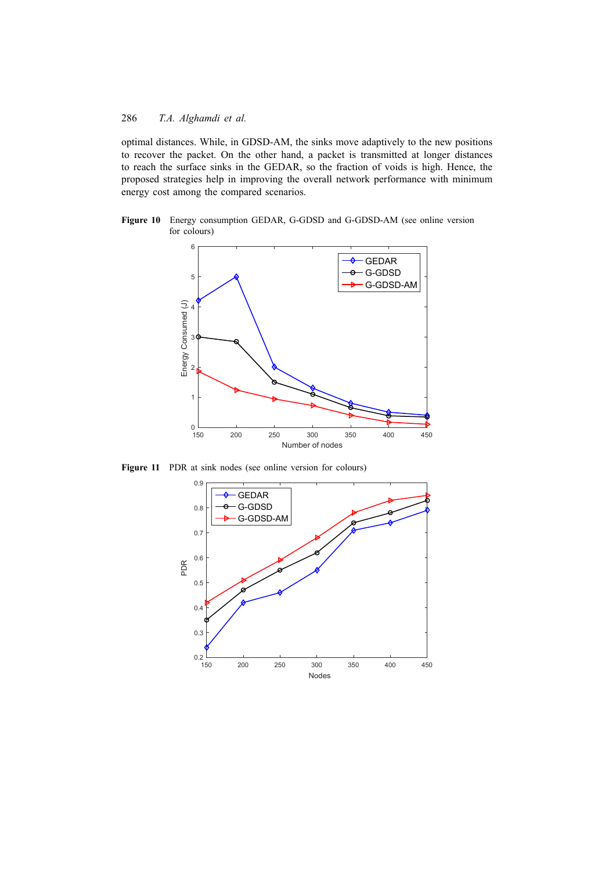optimal distances. While, in GDSD-AM, the sinks move adaptively to the new positions to recover the packet. On the other hand, a packet is transmitted at longer distances to reach the surface sinks in the GEDAR, so the fraction of voids is high. Hence, the proposed strategies help in improving the overall network performance with minimum energy cost among the compared scenarios.





**Figure 11** PDR at sink nodes (see online version for colours)

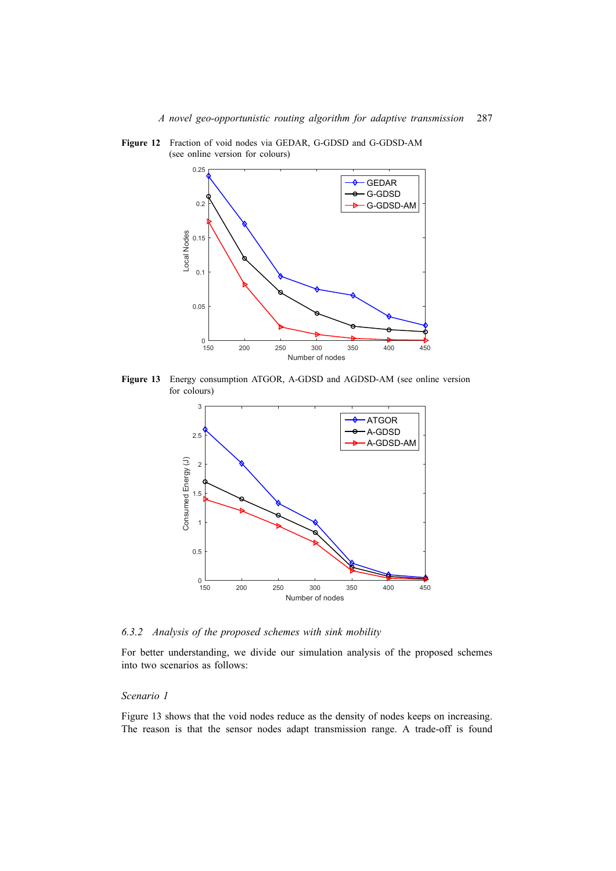**Figure 12** Fraction of void nodes via GEDAR, G-GDSD and G-GDSD-AM (see online version for colours)



**Figure 13** Energy consumption ATGOR, A-GDSD and AGDSD-AM (see online version for colours)



*6.3.2 Analysis of the proposed schemes with sink mobility*

For better understanding, we divide our simulation analysis of the proposed schemes into two scenarios as follows:

#### *Scenario 1*

Figure 13 shows that the void nodes reduce as the density of nodes keeps on increasing. The reason is that the sensor nodes adapt transmission range. A trade-off is found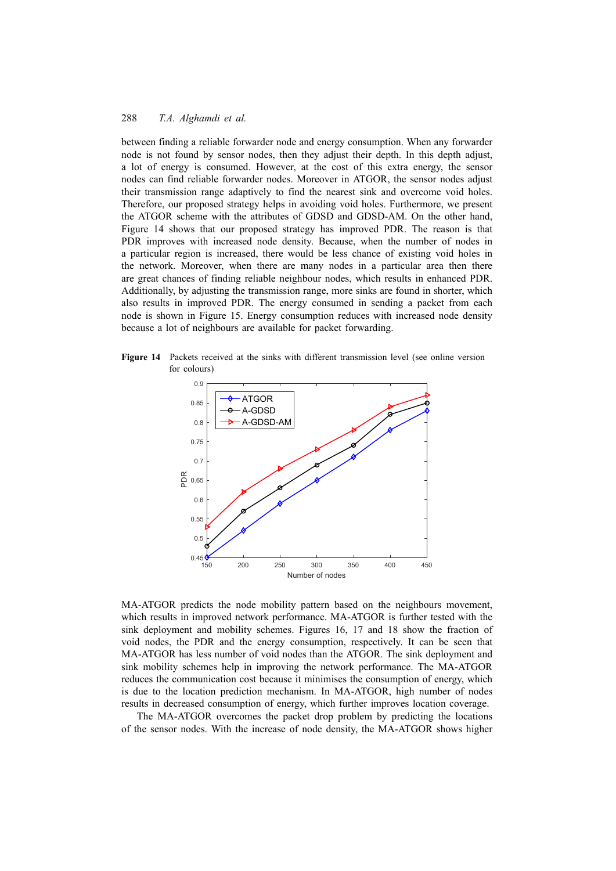between finding a reliable forwarder node and energy consumption. When any forwarder node is not found by sensor nodes, then they adjust their depth. In this depth adjust, a lot of energy is consumed. However, at the cost of this extra energy, the sensor nodes can find reliable forwarder nodes. Moreover in ATGOR, the sensor nodes adjust their transmission range adaptively to find the nearest sink and overcome void holes. Therefore, our proposed strategy helps in avoiding void holes. Furthermore, we present the ATGOR scheme with the attributes of GDSD and GDSD-AM. On the other hand, Figure 14 shows that our proposed strategy has improved PDR. The reason is that PDR improves with increased node density. Because, when the number of nodes in a particular region is increased, there would be less chance of existing void holes in the network. Moreover, when there are many nodes in a particular area then there are great chances of finding reliable neighbour nodes, which results in enhanced PDR. Additionally, by adjusting the transmission range, more sinks are found in shorter, which also results in improved PDR. The energy consumed in sending a packet from each node is shown in Figure 15. Energy consumption reduces with increased node density because a lot of neighbours are available for packet forwarding.

**Figure 14** Packets received at the sinks with different transmission level (see online version for colours)



MA-ATGOR predicts the node mobility pattern based on the neighbours movement, which results in improved network performance. MA-ATGOR is further tested with the sink deployment and mobility schemes. Figures 16, 17 and 18 show the fraction of void nodes, the PDR and the energy consumption, respectively. It can be seen that MA-ATGOR has less number of void nodes than the ATGOR. The sink deployment and sink mobility schemes help in improving the network performance. The MA-ATGOR reduces the communication cost because it minimises the consumption of energy, which is due to the location prediction mechanism. In MA-ATGOR, high number of nodes results in decreased consumption of energy, which further improves location coverage.

The MA-ATGOR overcomes the packet drop problem by predicting the locations of the sensor nodes. With the increase of node density, the MA-ATGOR shows higher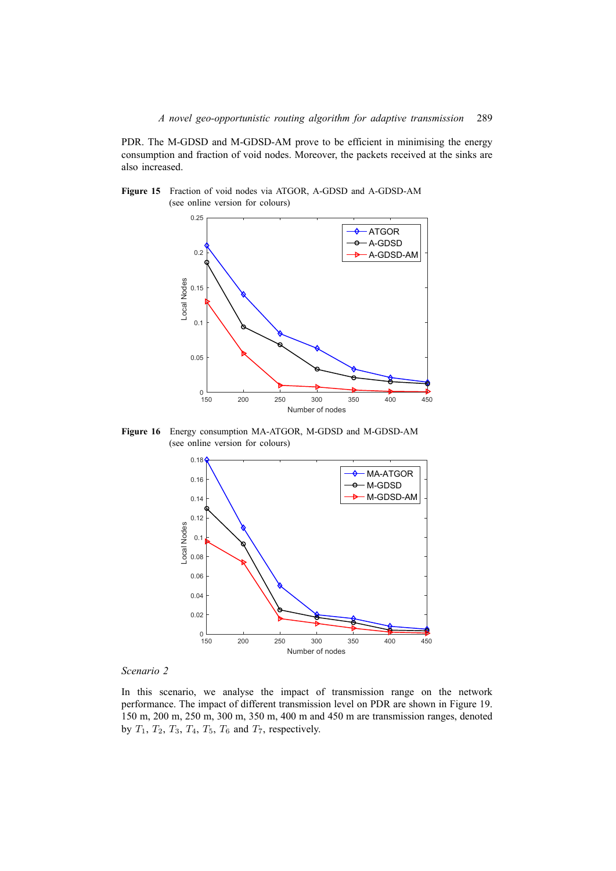PDR. The M-GDSD and M-GDSD-AM prove to be efficient in minimising the energy consumption and fraction of void nodes. Moreover, the packets received at the sinks are also increased.



**Figure 15** Fraction of void nodes via ATGOR, A-GDSD and A-GDSD-AM (see online version for colours)

**Figure 16** Energy consumption MA-ATGOR, M-GDSD and M-GDSD-AM (see online version for colours)



#### *Scenario 2*

In this scenario, we analyse the impact of transmission range on the network performance. The impact of different transmission level on PDR are shown in Figure 19. 150 m, 200 m, 250 m, 300 m, 350 m, 400 m and 450 m are transmission ranges, denoted by  $T_1$ ,  $T_2$ ,  $T_3$ ,  $T_4$ ,  $T_5$ ,  $T_6$  and  $T_7$ , respectively.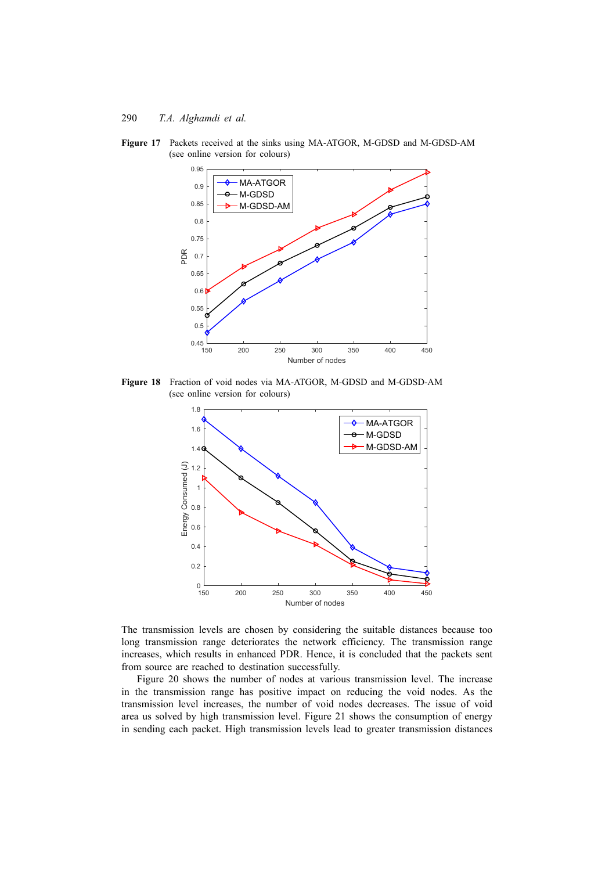**Figure 17** Packets received at the sinks using MA-ATGOR, M-GDSD and M-GDSD-AM (see online version for colours)



**Figure 18** Fraction of void nodes via MA-ATGOR, M-GDSD and M-GDSD-AM (see online version for colours)



The transmission levels are chosen by considering the suitable distances because too long transmission range deteriorates the network efficiency. The transmission range increases, which results in enhanced PDR. Hence, it is concluded that the packets sent from source are reached to destination successfully.

Figure 20 shows the number of nodes at various transmission level. The increase in the transmission range has positive impact on reducing the void nodes. As the transmission level increases, the number of void nodes decreases. The issue of void area us solved by high transmission level. Figure 21 shows the consumption of energy in sending each packet. High transmission levels lead to greater transmission distances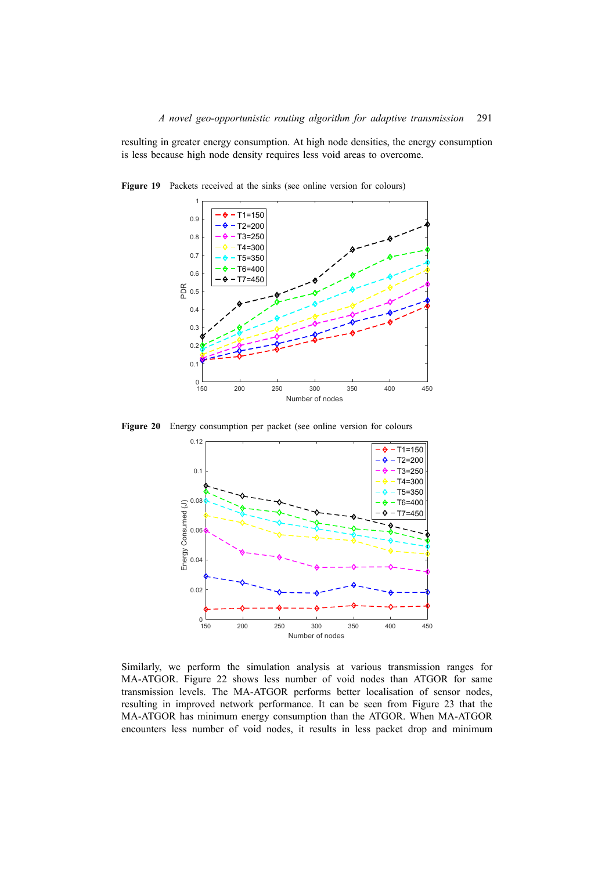resulting in greater energy consumption. At high node densities, the energy consumption is less because high node density requires less void areas to overcome.



Figure 19 Packets received at the sinks (see online version for colours)

**Figure 20** Energy consumption per packet (see online version for colours



Similarly, we perform the simulation analysis at various transmission ranges for MA-ATGOR. Figure 22 shows less number of void nodes than ATGOR for same transmission levels. The MA-ATGOR performs better localisation of sensor nodes, resulting in improved network performance. It can be seen from Figure 23 that the MA-ATGOR has minimum energy consumption than the ATGOR. When MA-ATGOR encounters less number of void nodes, it results in less packet drop and minimum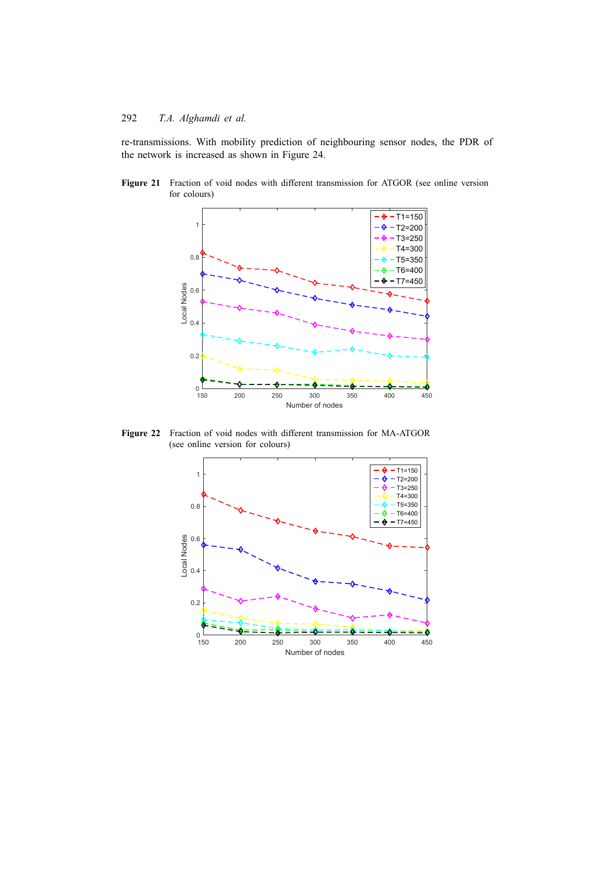re-transmissions. With mobility prediction of neighbouring sensor nodes, the PDR of the network is increased as shown in Figure 24.





**Figure 22** Fraction of void nodes with different transmission for MA-ATGOR (see online version for colours)

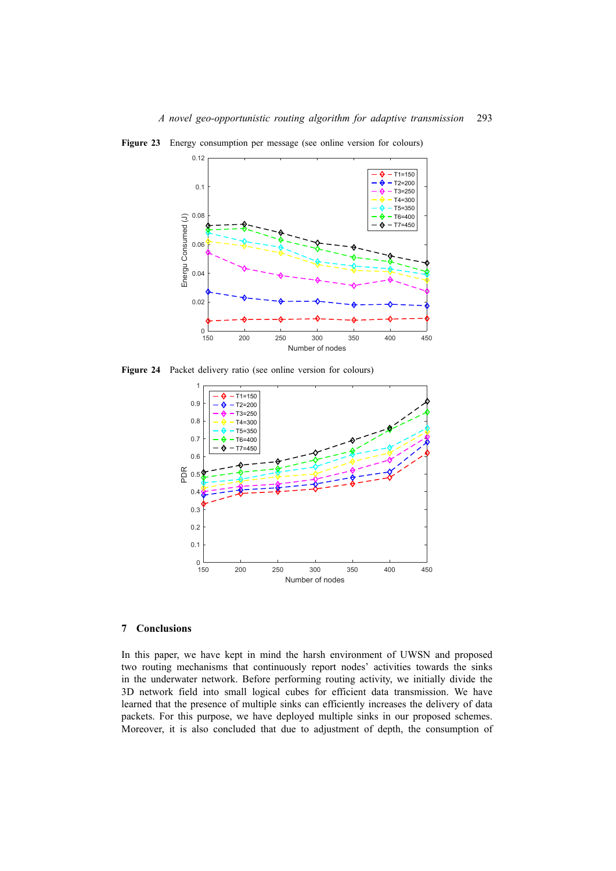

Figure 23 Energy consumption per message (see online version for colours)

**Figure 24** Packet delivery ratio (see online version for colours)



# **7 Conclusions**

In this paper, we have kept in mind the harsh environment of UWSN and proposed two routing mechanisms that continuously report nodes' activities towards the sinks in the underwater network. Before performing routing activity, we initially divide the 3D network field into small logical cubes for efficient data transmission. We have learned that the presence of multiple sinks can efficiently increases the delivery of data packets. For this purpose, we have deployed multiple sinks in our proposed schemes. Moreover, it is also concluded that due to adjustment of depth, the consumption of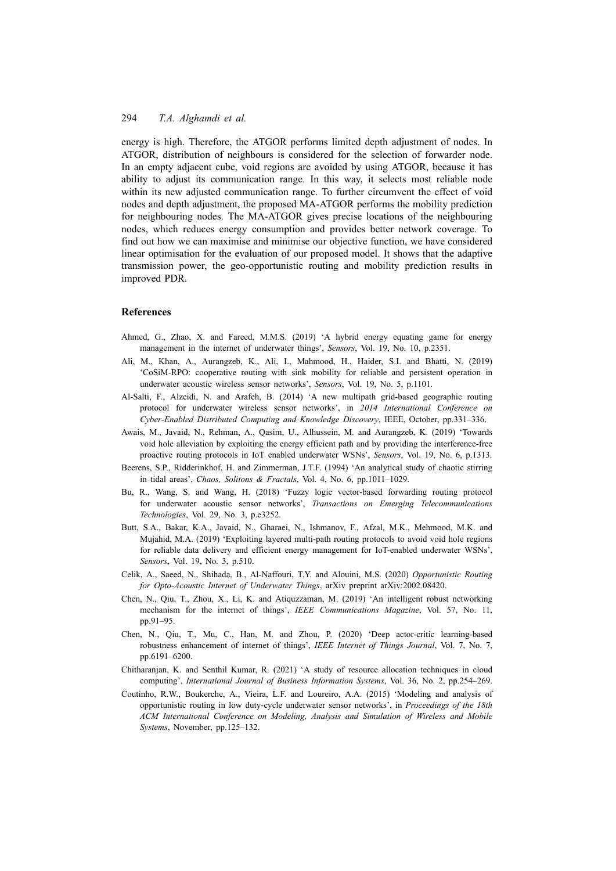energy is high. Therefore, the ATGOR performs limited depth adjustment of nodes. In ATGOR, distribution of neighbours is considered for the selection of forwarder node. In an empty adjacent cube, void regions are avoided by using ATGOR, because it has ability to adjust its communication range. In this way, it selects most reliable node within its new adjusted communication range. To further circumvent the effect of void nodes and depth adjustment, the proposed MA-ATGOR performs the mobility prediction for neighbouring nodes. The MA-ATGOR gives precise locations of the neighbouring nodes, which reduces energy consumption and provides better network coverage. To find out how we can maximise and minimise our objective function, we have considered linear optimisation for the evaluation of our proposed model. It shows that the adaptive transmission power, the geo-opportunistic routing and mobility prediction results in improved PDR.

# **References**

- Ahmed, G., Zhao, X. and Fareed, M.M.S. (2019) 'A hybrid energy equating game for energy management in the internet of underwater things', *Sensors*, Vol. 19, No. 10, p.2351.
- Ali, M., Khan, A., Aurangzeb, K., Ali, I., Mahmood, H., Haider, S.I. and Bhatti, N. (2019) 'CoSiM-RPO: cooperative routing with sink mobility for reliable and persistent operation in underwater acoustic wireless sensor networks', *Sensors*, Vol. 19, No. 5, p.1101.
- Al-Salti, F., Alzeidi, N. and Arafeh, B. (2014) 'A new multipath grid-based geographic routing protocol for underwater wireless sensor networks', in *2014 International Conference on Cyber-Enabled Distributed Computing and Knowledge Discovery*, IEEE, October, pp.331–336.
- Awais, M., Javaid, N., Rehman, A., Qasim, U., Alhussein, M. and Aurangzeb, K. (2019) 'Towards void hole alleviation by exploiting the energy efficient path and by providing the interference-free proactive routing protocols in IoT enabled underwater WSNs', *Sensors*, Vol. 19, No. 6, p.1313.
- Beerens, S.P., Ridderinkhof, H. and Zimmerman, J.T.F. (1994) 'An analytical study of chaotic stirring in tidal areas', *Chaos, Solitons & Fractals*, Vol. 4, No. 6, pp.1011–1029.
- Bu, R., Wang, S. and Wang, H. (2018) 'Fuzzy logic vector-based forwarding routing protocol for underwater acoustic sensor networks', *Transactions on Emerging Telecommunications Technologies*, Vol. 29, No. 3, p.e3252.
- Butt, S.A., Bakar, K.A., Javaid, N., Gharaei, N., Ishmanov, F., Afzal, M.K., Mehmood, M.K. and Mujahid, M.A. (2019) 'Exploiting layered multi-path routing protocols to avoid void hole regions for reliable data delivery and efficient energy management for IoT-enabled underwater WSNs', *Sensors*, Vol. 19, No. 3, p.510.
- Celik, A., Saeed, N., Shihada, B., Al-Naffouri, T.Y. and Alouini, M.S. (2020) *Opportunistic Routing for Opto-Acoustic Internet of Underwater Things*, arXiv preprint arXiv:2002.08420.
- Chen, N., Qiu, T., Zhou, X., Li, K. and Atiquzzaman, M. (2019) 'An intelligent robust networking mechanism for the internet of things', *IEEE Communications Magazine*, Vol. 57, No. 11, pp.91–95.
- Chen, N., Qiu, T., Mu, C., Han, M. and Zhou, P. (2020) 'Deep actor-critic learning-based robustness enhancement of internet of things', *IEEE Internet of Things Journal*, Vol. 7, No. 7, pp.6191–6200.
- Chitharanjan, K. and Senthil Kumar, R. (2021) 'A study of resource allocation techniques in cloud computing', *International Journal of Business Information Systems*, Vol. 36, No. 2, pp.254–269.
- Coutinho, R.W., Boukerche, A., Vieira, L.F. and Loureiro, A.A. (2015) 'Modeling and analysis of opportunistic routing in low duty-cycle underwater sensor networks', in *Proceedings of the 18th ACM International Conference on Modeling, Analysis and Simulation of Wireless and Mobile Systems*, November, pp.125–132.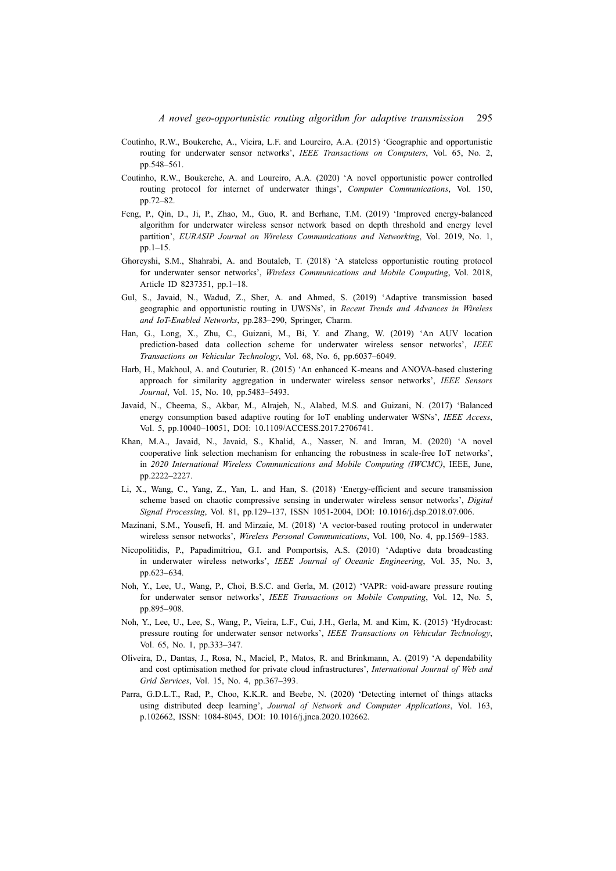- Coutinho, R.W., Boukerche, A., Vieira, L.F. and Loureiro, A.A. (2015) 'Geographic and opportunistic routing for underwater sensor networks', *IEEE Transactions on Computers*, Vol. 65, No. 2, pp.548–561.
- Coutinho, R.W., Boukerche, A. and Loureiro, A.A. (2020) 'A novel opportunistic power controlled routing protocol for internet of underwater things', *Computer Communications*, Vol. 150, pp.72–82.
- Feng, P., Qin, D., Ji, P., Zhao, M., Guo, R. and Berhane, T.M. (2019) 'Improved energy-balanced algorithm for underwater wireless sensor network based on depth threshold and energy level partition', *EURASIP Journal on Wireless Communications and Networking*, Vol. 2019, No. 1, pp.1–15.
- Ghoreyshi, S.M., Shahrabi, A. and Boutaleb, T. (2018) 'A stateless opportunistic routing protocol for underwater sensor networks', *Wireless Communications and Mobile Computing*, Vol. 2018, Article ID 8237351, pp.1–18.
- Gul, S., Javaid, N., Wadud, Z., Sher, A. and Ahmed, S. (2019) 'Adaptive transmission based geographic and opportunistic routing in UWSNs', in *Recent Trends and Advances in Wireless and IoT-Enabled Networks*, pp.283–290, Springer, Charm.
- Han, G., Long, X., Zhu, C., Guizani, M., Bi, Y. and Zhang, W. (2019) 'An AUV location prediction-based data collection scheme for underwater wireless sensor networks', *IEEE Transactions on Vehicular Technology*, Vol. 68, No. 6, pp.6037–6049.
- Harb, H., Makhoul, A. and Couturier, R. (2015) 'An enhanced K-means and ANOVA-based clustering approach for similarity aggregation in underwater wireless sensor networks', *IEEE Sensors Journal*, Vol. 15, No. 10, pp.5483–5493.
- Javaid, N., Cheema, S., Akbar, M., Alrajeh, N., Alabed, M.S. and Guizani, N. (2017) 'Balanced energy consumption based adaptive routing for IoT enabling underwater WSNs', *IEEE Access*, Vol. 5, pp.10040–10051, DOI: 10.1109/ACCESS.2017.2706741.
- Khan, M.A., Javaid, N., Javaid, S., Khalid, A., Nasser, N. and Imran, M. (2020) 'A novel cooperative link selection mechanism for enhancing the robustness in scale-free IoT networks', in *2020 International Wireless Communications and Mobile Computing (IWCMC)*, IEEE, June, pp.2222–2227.
- Li, X., Wang, C., Yang, Z., Yan, L. and Han, S. (2018) 'Energy-efficient and secure transmission scheme based on chaotic compressive sensing in underwater wireless sensor networks', *Digital Signal Processing*, Vol. 81, pp.129–137, ISSN 1051-2004, DOI: 10.1016/j.dsp.2018.07.006.
- Mazinani, S.M., Yousefi, H. and Mirzaie, M. (2018) 'A vector-based routing protocol in underwater wireless sensor networks', *Wireless Personal Communications*, Vol. 100, No. 4, pp.1569–1583.
- Nicopolitidis, P., Papadimitriou, G.I. and Pomportsis, A.S. (2010) 'Adaptive data broadcasting in underwater wireless networks', *IEEE Journal of Oceanic Engineering*, Vol. 35, No. 3, pp.623–634.
- Noh, Y., Lee, U., Wang, P., Choi, B.S.C. and Gerla, M. (2012) 'VAPR: void-aware pressure routing for underwater sensor networks', *IEEE Transactions on Mobile Computing*, Vol. 12, No. 5, pp.895–908.
- Noh, Y., Lee, U., Lee, S., Wang, P., Vieira, L.F., Cui, J.H., Gerla, M. and Kim, K. (2015) 'Hydrocast: pressure routing for underwater sensor networks', *IEEE Transactions on Vehicular Technology*, Vol. 65, No. 1, pp.333–347.
- Oliveira, D., Dantas, J., Rosa, N., Maciel, P., Matos, R. and Brinkmann, A. (2019) 'A dependability and cost optimisation method for private cloud infrastructures', *International Journal of Web and Grid Services*, Vol. 15, No. 4, pp.367–393.
- Parra, G.D.L.T., Rad, P., Choo, K.K.R. and Beebe, N. (2020) 'Detecting internet of things attacks using distributed deep learning', *Journal of Network and Computer Applications*, Vol. 163, p.102662, ISSN: 1084-8045, DOI: 10.1016/j.jnca.2020.102662.